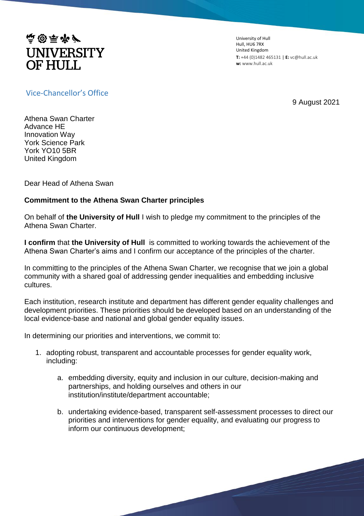

University of Hull Hull, HU6 7RX United Kingdom **T:** +44 (0)1482 465131 | **E:** vc@hull.ac.uk **w:** www.hull.ac.uk

## Vice-Chancellor's Office

9 August 2021

Athena Swan Charter Advance HE Innovation Way York Science Park York YO10 5BR United Kingdom

Dear Head of Athena Swan

## **Commitment to the Athena Swan Charter principles**

On behalf of **the University of Hull** I wish to pledge my commitment to the principles of the Athena Swan Charter.

**I confirm** that **the University of Hull** is committed to working towards the achievement of the Athena Swan Charter's aims and I confirm our acceptance of the principles of the charter.

In committing to the principles of the Athena Swan Charter, we recognise that we join a global community with a shared goal of addressing gender inequalities and embedding inclusive cultures.

Each institution, research institute and department has different gender equality challenges and development priorities. These priorities should be developed based on an understanding of the local evidence-base and national and global gender equality issues.

In determining our priorities and interventions, we commit to:

- 1. adopting robust, transparent and accountable processes for gender equality work, including:
	- a. embedding diversity, equity and inclusion in our culture, decision-making and partnerships, and holding ourselves and others in our institution/institute/department accountable;
	- b. undertaking evidence-based, transparent self-assessment processes to direct our priorities and interventions for gender equality, and evaluating our progress to inform our continuous development;